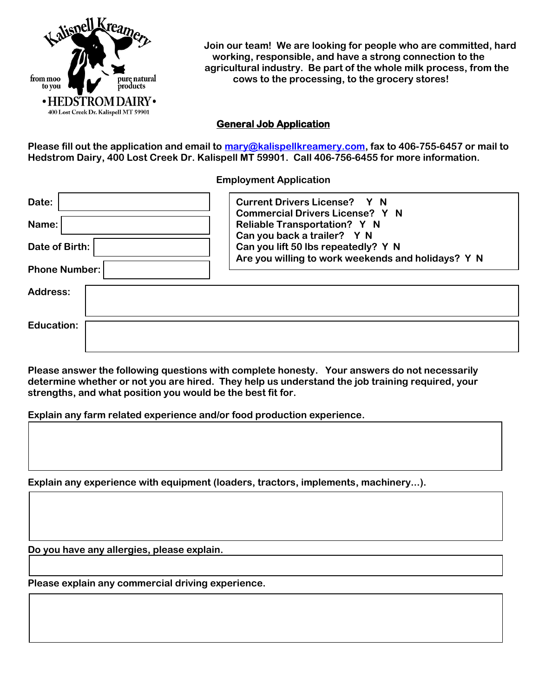

 **Join our team! We are looking for people who are committed, hard working, responsible, and have a strong connection to the agricultural industry. Be part of the whole milk process, from the cows to the processing, to the grocery stores!**

## **General Job Application**

**Please fill out the application and email to [mary@kalispellkreamery.com,](mailto:mary@kalispellkreamery.com) fax to 406-755-6457 or mail to Hedstrom Dairy, 400 Lost Creek Dr. Kalispell MT 59901. Call 406-756-6455 for more information.**

**Employment Application**

| Date:                | <b>Current Drivers License? Y N</b><br><b>Commercial Drivers License? Y N</b>             |
|----------------------|-------------------------------------------------------------------------------------------|
| Name:                | Reliable Transportation? Y N<br>Can you back a trailer? Y N                               |
| Date of Birth:       | Can you lift 50 lbs repeatedly? Y N<br>Are you willing to work weekends and holidays? Y N |
| <b>Phone Number:</b> |                                                                                           |
| Address:             |                                                                                           |
|                      |                                                                                           |
| <b>Education:</b>    |                                                                                           |
|                      |                                                                                           |

**Please answer the following questions with complete honesty. Your answers do not necessarily determine whether or not you are hired. They help us understand the job training required, your strengths, and what position you would be the best fit for.**

**Explain any farm related experience and/or food production experience.**

**Explain any experience with equipment (loaders, tractors, implements, machinery...).**

**Do you have any allergies, please explain.**

**Please explain any commercial driving experience.**